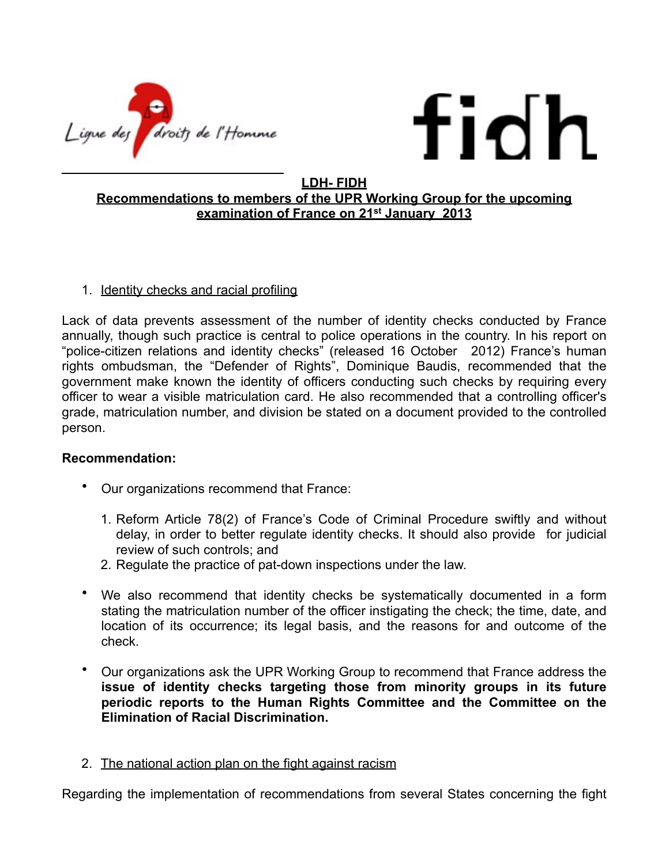



## **LDH- FIDH Recommendations to members of the UPR Working Group for the upcoming examination of France on 21st January 2013**

## 1. Identity checks and racial profiling

Lack of data prevents assessment of the number of identity checks conducted by France annually, though such practice is central to police operations in the country. In his report on "police-citizen relations and identity checks" (released 16 October 2012) France's human rights ombudsman, the "Defender of Rights", Dominique Baudis, recommended that the government make known the identity of officers conducting such checks by requiring every officer to wear a visible matriculation card. He also recommended that a controlling officer's grade, matriculation number, and division be stated on a document provided to the controlled person.

## **Recommendation:**

- Our organizations recommend that France:
	- 1. Reform Article 78(2) of France's Code of Criminal Procedure swiftly and without delay, in order to better regulate identity checks. It should also provide for judicial review of such controls; and
	- 2. Regulate the practice of pat-down inspections under the law.
- We also recommend that identity checks be systematically documented in a form stating the matriculation number of the officer instigating the check; the time, date, and location of its occurrence; its legal basis, and the reasons for and outcome of the check.
- Our organizations ask the UPR Working Group to recommend that France address the **issue of identity checks targeting those from minority groups in its future periodic reports to the Human Rights Committee and the Committee on the Elimination of Racial Discrimination.**
- 2. The national action plan on the fight against racism

Regarding the implementation of recommendations from several States concerning the fight